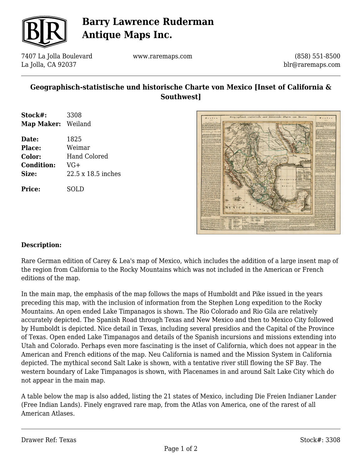

# **Barry Lawrence Ruderman Antique Maps Inc.**

7407 La Jolla Boulevard La Jolla, CA 92037

www.raremaps.com

(858) 551-8500 blr@raremaps.com

### **Geographisch-statistische und historische Charte von Mexico [Inset of California & Southwest]**

| Stock#:            | 3308                |
|--------------------|---------------------|
| Map Maker: Weiland |                     |
| Date:              | 1825                |
| <b>Place:</b>      | Weimar              |
| Color:             | <b>Hand Colored</b> |
| <b>Condition:</b>  | VG+                 |
| Size:              | 22.5 x 18.5 inches  |
| <b>Price:</b>      | SOLD                |



#### **Description:**

Rare German edition of Carey & Lea's map of Mexico, which includes the addition of a large insent map of the region from California to the Rocky Mountains which was not included in the American or French editions of the map.

In the main map, the emphasis of the map follows the maps of Humboldt and Pike issued in the years preceding this map, with the inclusion of information from the Stephen Long expedition to the Rocky Mountains. An open ended Lake Timpanagos is shown. The Rio Colorado and Rio Gila are relatively accurately depicted. The Spanish Road through Texas and New Mexico and then to Mexico City followed by Humboldt is depicted. Nice detail in Texas, including several presidios and the Capital of the Province of Texas. Open ended Lake Timpanagos and details of the Spanish incursions and missions extending into Utah and Colorado. Perhaps even more fascinating is the inset of California, which does not appear in the American and French editions of the map. Neu California is named and the Mission System in California depicted. The mythical second Salt Lake is shown, with a tentative river still flowing the SF Bay. The western boundary of Lake Timpanagos is shown, with Placenames in and around Salt Lake City which do not appear in the main map.

A table below the map is also added, listing the 21 states of Mexico, including Die Freien Indianer Lander (Free Indian Lands). Finely engraved rare map, from the Atlas von America, one of the rarest of all American Atlases.